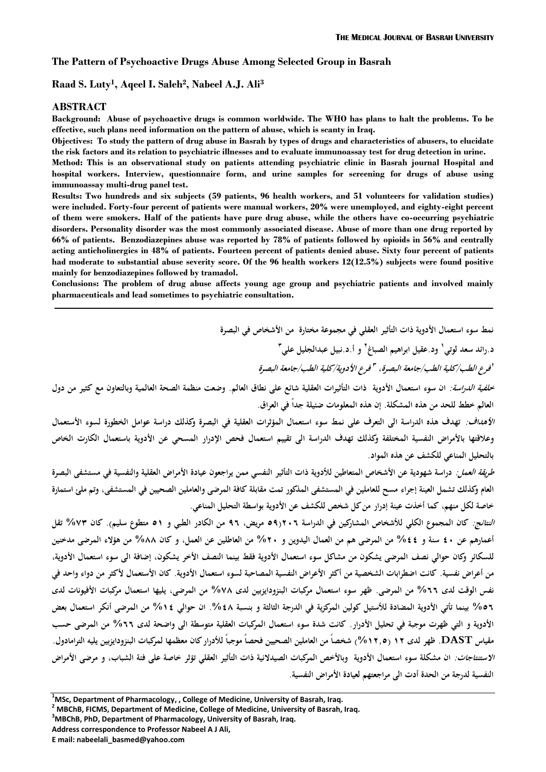#### **The Pattern of Psychoactive Drugs Abuse Among Selected Group in Basrah**

**Raad S. Luty<sup>1</sup> , Aqeel I. Saleh<sup>2</sup> , Nabeel A.J. Ali<sup>3</sup>**

#### **ABSTRACT**

**Background: Abuse of psychoactive drugs is common worldwide. The WHO has plans to halt the problems. To be effective, such plans need information on the pattern of abuse, which is scanty in Iraq.**

**Objectives: To study the pattern of drug abuse in Basrah by types of drugs and characteristics of abusers, to elucidate the risk factors and its relation to psychiatric illnesses and to evaluate immunoassay test for drug detection in urine.**

**Method: This is an observational study on patients attending psychiatric clinic in Basrah journal Hospital and hospital workers. Interview, questionnaire form, and urine samples for screening for drugs of abuse using immunoassay multi-drug panel test.**

**Results: Two hundreds and six subjects (59 patients, 96 health workers, and 51 volunteers for validation studies) were included. Forty-four percent of patients were manual workers, 20% were unemployed, and eighty-eight percent of them were smokers. Half of the patients have pure drug abuse, while the others have co-occurring psychiatric disorders. Personality disorder was the most commonly associated disease. Abuse of more than one drug reported by 66% of patients. Benzodiazepines abuse was reported by 78% of patients followed by opioids in 56% and centrally acting anticholinergics in 48% of patients. Fourteen percent of patients denied abuse. Sixty four percent of patients had moderate to substantial abuse severity score. Of the 96 health workers 12(12.5%) subjects were found positive mainly for benzodiazepines followed by tramadol.**

**Conclusions: The problem of drug abuse affects young age group and psychiatric patients and involved mainly pharmaceuticals and lead sometimes to psychiatric consultation.**

**نمط سوء استعمال الأدوية ذات التأثير العقلي في مجموعة مختارة من الأشخاص في البصرة**

**د.رائد سعد لوتي و د.عقيل ابراهيم الصباغ <sup>١</sup> و أ.د.نبيل عبدالجليل علي <sup>٢</sup> ٣**

*فرع الأدوية/كلية الطب/جامعة البصرة <sup>٣</sup> فرع الطب/كلية الطب/جامعة البصرة، <sup>١</sup>*

*خلفية الدراسة:* ان سوء استعمال الأدوية ذات التأثيرات العقلية شائع على نطاق العالم. وضعت منظمة الصحة العالمية وبالتعاون مع كثير من دول<br>العالم خطط للحد من هذه المشكلة. إن هذه المعلومات ضئيلة جداً في العراق.

*الأهداف:* **تهدف هذه الدراسة الى التعرف على نمط سوء استعمال المؤثرات العقلية في البصرة وكذلك دراسة عوامل الخطورة لسوء الأستعمال وعلاقتها بالأمراض النفسية المختلفة و كذلك تهدف الدراسة الى تقييم استعمال فحص الإدرار المسحي عن الأدوية باستعمال الكارت الخاص بالتحليل المناعي للكشف عن هذه المواد.** 

*طريقة العمل:* **دراسة شهودية عن الأشخاص المتعاطين للأدوية ذات التأثير النفسي ممن يراجعون عيادة الأمراض العقلية والنفسية في مستشفى البصرة العام و كذلك تشمل العينة إجراء مسح للعاملين في المستشفى المذكور تمت مقابلة كافة المرضى والعاملين الصحيين في المستشفى، وتم ملئ استمارة خاصة لكل منهم، كما أخذت عينة إدرار من كل شخص للكشف عن الأدوية بواسطة التحليل المناعي.** 

*النتائج:* **كان المجموع الكلي للأشخاص المشاركين في الدراسة ٢٠٦(٥٩ مريض، ٩٦ من الكادر الطبي و ٥١ متطوع سليم). كان %٧٣ تقل**  أعمارهم عن ٤٠ سنة و ٤٤% من المرضى هم من العمال اليدوين و ٢٠% من العاطلين عن العمل، و كان ٨٨% من هؤلاء المرضى مدخنين<br>للسكائر وكان حوالي نصف المرضى يشكون من مشاكل سوء استعمال الأدوية فقط بينما النصف الأخر يشكون، إضافة الى س **من أعراض نفسية. كانت اضطرابات الشخصية من أكثر الأعراض النفسية المصاحبة لسوء استعمال الأدوية. كان الأستعمال لأكثر من دواء واحد في نفس الوقت لدى %٦٦ من المرضى. ظهر سوء استعمال مركبات البنزودايزبين لدى %٧٨ من المرضى، يليها استعمال مركبات الأفيونات لدى %٥٦ بينما تأتي الأدوية المضادة للأستيل كولين المركزية في الدرجة الثالثة و بنسبة .%٤٨ ان حوالي %١٤ من المرضى أنكر استعمال بعض**  الأدوية و التي ظهرت موجبة في تحليل الأدرار . كانت شدة سوء استعمال المركبات العقلية متوسطة الى واضحة لدى ٦٦% من المرضى حسب<br>مقياس DAST . ظهر لدى ١٢ (١٢.٥%) شخصاً من العاملين الصحيين فحصاً موجباً للأدرار كان معظمها لمركبات ا *الاستنتاجات:* ان مشكلة سوء استعمال الأدوية وبالأخص المركبات الصيدلانية ذات التأثير العقلي تؤثر خاصة على فئة الشباب، و مرضى الأمراض<br>النفسية لد<sub>ا</sub>جة من الحدة أدت الى مراجعتهم لعبادة الأمراض النفسية.

**Address correspondence to Professor Nabeel A J Ali,**

<sup>&</sup>lt;sup>1</sup>MSc, Department of Pharmacology, , College of Medicine, University of Basrah, Iraq.<br><sup>2</sup> MBChB, FICMS, Department of Medicine, College of Medicine, University of Basrah, Iraq.<br><sup>3</sup>MBChB, PhD, Department of Pharmacology,

**E mail: nabeelali\_basmed@yahoo.com**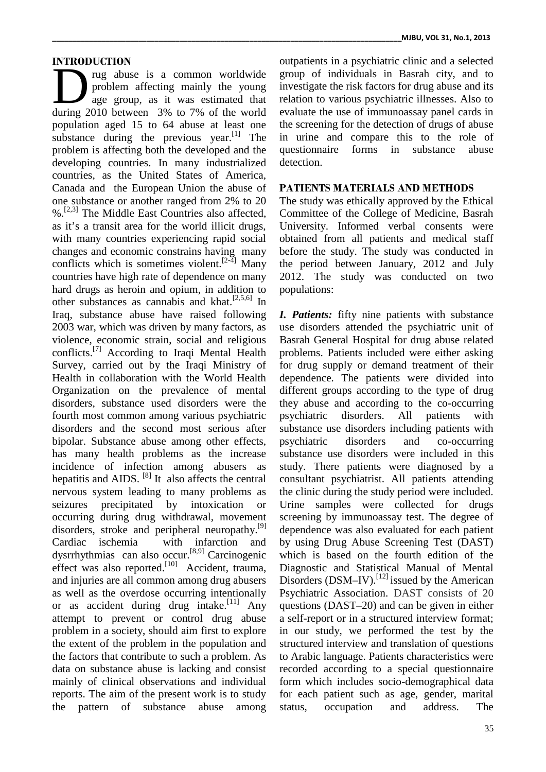## **INTRODUCTION**

rug abuse is a common worldwide problem affecting mainly the young age group, as it was estimated that The Technology abuse is a common worldwide group<br>problem affecting mainly the young invest<br>during 2010 between 3% to 7% of the world evalua population aged 15 to 64 abuse at least one substance during the previous year.<sup>[1]</sup> The problem is affecting both the developed and the developing countries. In many industrialized countries, as the United States of America, Canada and the European Union the abuse of one substance or another ranged from 2% to 20  $% [2,3]$  The Middle East Countries also affected, as it's a transit area for the world illicit drugs, with many countries experiencing rapid social changes and economic constrains having many conflicts which is sometimes violent.<sup>[2-4]</sup> Many countries have high rate of dependence on many hard drugs as heroin and opium, in addition to other substances as cannabis and khat.<sup>[2,5,6]</sup> In Iraq, substance abuse have raised following 2003 war, which was driven by many factors, as violence, economic strain, social and religious conflicts.[7] According to Iraqi Mental Health Survey, carried out by the Iraqi Ministry of Health in collaboration with the World Health Organization on the prevalence of mental disorders, substance used disorders were the fourth most common among various psychiatric disorders and the second most serious after bipolar. Substance abuse among other effects, psychiatric has many health problems as the increase incidence of infection among abusers as hepatitis and AIDS. <sup>[8]</sup> It also affects the central nervous system leading to many problems as seizures precipitated by intoxication or occurring during drug withdrawal, movement disorders, stroke and peripheral neuropathy.<sup>[9]</sup> d Cardiac ischemia with infarction and dysrrhythmias can also occur.<sup>[8,9]</sup> Carcinogenic which effect was also reported.<sup>[10]</sup> Accident, trauma, D and injuries are all common among drug abusers as well as the overdose occurring intentionally or as accident during drug intake.<sup>[11]</sup> Any attempt to prevent or control drug abuse problem in a society, should aim first to explore the extent of the problem in the population and the factors that contribute to such a problem. As data on substance abuse is lacking and consist mainly of clinical observations and individual reports. The aim of the present work is to study the pattern of substance abuse among

outpatients in a psychiatric clinic and a selected group of individuals in Basrah city, and to investigate the risk factors for drug abuse and its relation to various psychiatric illnesses. Also to evaluate the use of immunoassay panel cards in the screening for the detection of drugs of abuse in urine and compare this to the role of questionnaire forms in substance abuse detection.

## **PATIENTS MATERIALS AND METHODS**

The study was ethically approved by the Ethical Committee of the College of Medicine, Basrah University. Informed verbal consents were obtained from all patients and medical staff before the study. The study was conducted in the period between January, 2012 and July 2012. The study was conducted on two populations:

*I. Patients:* fifty nine patients with substance use disorders attended the psychiatric unit of Basrah General Hospital for drug abuse related problems. Patients included were either asking for drug supply or demand treatment of their dependence. The patients were divided into different groups according to the type of drug they abuse and according to the co-occurring psychiatric disorders. All patients with substance use disorders including patients with disorders and co-occurring substance use disorders were included in this study. There patients were diagnosed by a consultant psychiatrist. All patients attending the clinic during the study period were included. Urine samples were collected for drugs screening by immunoassay test. The degree of dependence was also evaluated for each patient by using Drug Abuse Screening Test (DAST) which is based on the fourth edition of the Diagnostic and Statistical Manual of Mental Disorders (DSM-IV).<sup>[12]</sup> issued by the American Psychiatric Association. DAST consists of 20 questions (DAST–20) and can be given in either a self-report or in a structured interview format; in our study, we performed the test by the structured interview and translation of questions to Arabic language. Patients characteristics were recorded according to a special questionnaire form which includes socio-demographical data for each patient such as age, gender, marital occupation and address. The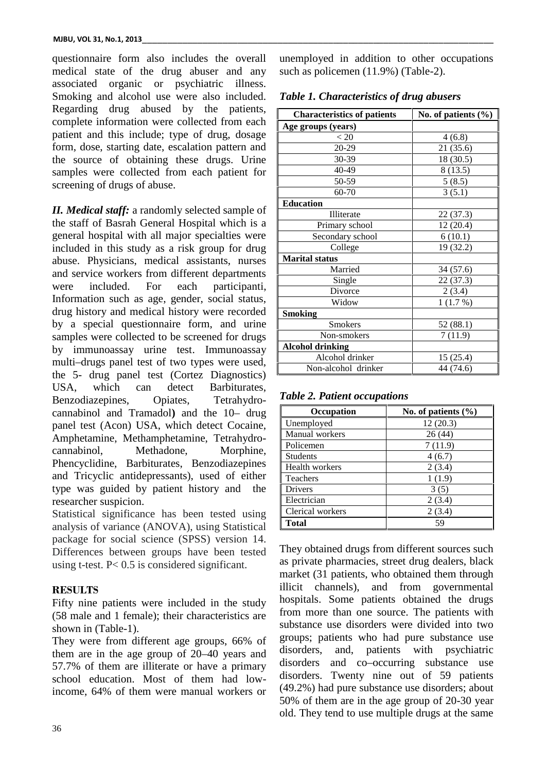questionnaire form also includes the overall medical state of the drug abuser and any associated organic or psychiatric illness. Smoking and alcohol use were also included. Regarding drug abused by the patients, complete information were collected from each patient and this include; type of drug, dosage form, dose, starting date, escalation pattern and the source of obtaining these drugs. Urine samples were collected from each patient for screening of drugs of abuse.

*II. Medical staff:* a randomly selected sample of the staff of Basrah General Hospital which is a general hospital with all major specialties were included in this study as a risk group for drug abuse. Physicians, medical assistants, nurses and service workers from different departments were included. For each participanti, Information such as age, gender, social status, drug history and medical history were recorded by a special questionnaire form, and urine samples were collected to be screened for drugs by immunoassay urine test. Immunoassay multi–drugs panel test of two types were used, the 5- drug panel test (Cortez Diagnostics) USA, which can detect Barbiturates, Benzodiazepines, Opiates, Tetrahydro cannabinol and Tramadol**)** and the 10– drug panel test (Acon) USA, which detect Cocaine, Amphetamine, Methamphetamine, Tetrahydro cannabinol, Methadone, Morphine, Phencyclidine, Barbiturates, Benzodiazepines and Tricyclic antidepressants), used of either type was guided by patient history and the researcher suspicion.

Statistical significance has been tested using analysis of variance (ANOVA), using Statistical package for social science (SPSS) version 14. Differences between groups have been tested using t-test. P< 0.5 is considered significant.

# **RESULTS**

Fifty nine patients were included in the study (58 male and 1 female); their characteristics are shown in (Table-1).

They were from different age groups, 66% of groups; partition are in the age group of 20, 40 years and disorders. them are in the age group of 20–40 years and 57.7% of them are illiterate or have a primary school education. Most of them had lowincome, 64% of them were manual workers or

unemployed in addition to other occupations such as policemen (11.9%) (Table-2).

|  | Table 1. Characteristics of drug abusers |  |  |
|--|------------------------------------------|--|--|
|--|------------------------------------------|--|--|

| <b>Characteristics of patients</b> | No. of patients $(\% )$ |  |  |
|------------------------------------|-------------------------|--|--|
| Age groups (years)                 |                         |  |  |
| < 20                               | 4(6.8)                  |  |  |
| 20-29                              | 21(35.6)                |  |  |
| 30-39                              | 18 (30.5)               |  |  |
| 40-49                              | 8(13.5)                 |  |  |
| 50-59                              | 5(8.5)                  |  |  |
| 60-70                              | 3(5.1)                  |  |  |
| <b>Education</b>                   |                         |  |  |
| Illiterate                         | 22(37.3)                |  |  |
| Primary school                     | 12 (20.4)               |  |  |
| Secondary school                   | 6(10.1)                 |  |  |
| College                            | 19 (32.2)               |  |  |
| <b>Marital status</b>              |                         |  |  |
| Married                            | 34(57.6)                |  |  |
| Single                             | 22(37.3)                |  |  |
| Divorce                            | 2(3.4)                  |  |  |
| Widow                              | 1(1.7%)                 |  |  |
| <b>Smoking</b>                     |                         |  |  |
| <b>Smokers</b>                     | 52(88.1)                |  |  |
| Non-smokers                        | 7(11.9)                 |  |  |
| Alcohol drinking                   |                         |  |  |
| Alcohol drinker                    | 15(25.4)                |  |  |
| Non-alcohol drinker                | 44 (74.6)               |  |  |

*Table 2. Patient occupations*

| Occupation       | No. of patients $(\% )$ |
|------------------|-------------------------|
| Unemployed       | 12(20.3)                |
| Manual workers   | 26(44)                  |
| Policemen        | 7 (11.9)                |
| <b>Students</b>  | 4(6.7)                  |
| Health workers   | 2(3.4)                  |
| Teachers         | 1(1.9)                  |
| Drivers          | 3 (5)                   |
| Electrician      | 2(3.4)                  |
| Clerical workers | 2(3.4)                  |
| Total            | 59                      |

They obtained drugs from different sources such as private pharmacies, street drug dealers, black market (31 patients, who obtained them through illicit channels), and from governmental hospitals. Some patients obtained the drugs from more than one source. The patients with substance use disorders were divided into two groups; patients who had pure substance use and, patients with psychiatric disorders and co–occurring substance use disorders. Twenty nine out of 59 patients (49.2%) had pure substance use disorders; about 50% of them are in the age group of 20-30 year old. They tend to use multiple drugs at the same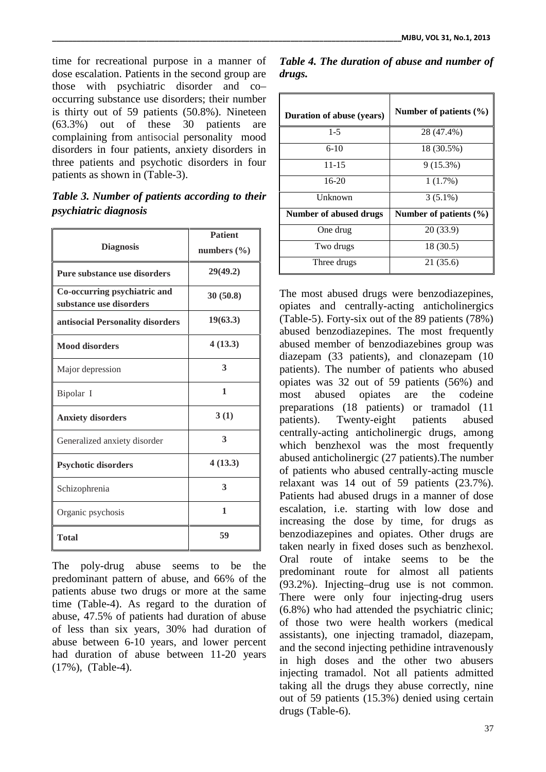time for recreational purpose in a manner of dose escalation. Patients in the second group are those with psychiatric disorder and co– occurring substance use disorders; their number is thirty out of 59 patients (50.8%). Nineteen (63.3%) out of these 30 patients are complaining from antisocial personality mood disorders in four patients, anxiety disorders in three patients and psychotic disorders in four patients as shown in (Table-3).

# *Table 3. Number of patients according to their psychiatric diagnosis*

| <b>Diagnosis</b>                                        | <b>Patient</b><br>numbers $(\% )$ |
|---------------------------------------------------------|-----------------------------------|
| Pure substance use disorders                            | 29(49.2)                          |
| Co-occurring psychiatric and<br>substance use disorders | 30(50.8)                          |
| antisocial Personality disorders                        | 19(63.3)                          |
| <b>Mood disorders</b>                                   | 4(13.3)                           |
| Major depression                                        | 3                                 |
| Bipolar I                                               | 1                                 |
| <b>Anxiety disorders</b>                                | 3(1)                              |
| Generalized anxiety disorder                            | 3                                 |
| <b>Psychotic disorders</b>                              | 4(13.3)                           |
| Schizophrenia                                           | 3                                 |
| Organic psychosis                                       | 1                                 |
| <b>Total</b>                                            | 59                                |

The poly-drug abuse seems to be the predominant pattern of abuse, and 66% of the patients abuse two drugs or more at the same time (Table-4). As regard to the duration of abuse, 47.5% of patients had duration of abuse of less than six years, 30% had duration of abuse between 6-10 years, and lower percent had duration of abuse between 11-20 years (17%), (Table-4).

|        | Table 4. The duration of abuse and number of |  |  |  |
|--------|----------------------------------------------|--|--|--|
| drugs. |                                              |  |  |  |

| <b>Duration of abuse (years)</b> | Number of patients $(\% )$ |
|----------------------------------|----------------------------|
| $1-5$                            | 28 (47.4%)                 |
| $6-10$                           | 18 (30.5%)                 |
| $11 - 15$                        | $9(15.3\%)$                |
| $16-20$                          | 1(1.7%)                    |
| Unknown                          | $3(5.1\%)$                 |
| Number of abused drugs           | Number of patients $(\% )$ |
| One drug                         | 20(33.9)                   |
| Two drugs                        | 18 (30.5)                  |
|                                  |                            |
| Three drugs                      | 21 (35.6)                  |

The most abused drugs were benzodiazepines, opiates and centrally-acting anticholinergics (Table-5). Forty-six out of the 89 patients (78%) abused benzodiazepines. The most frequently abused member of benzodiazebines group was diazepam (33 patients), and clonazepam (10 patients). The number of patients who abused opiates was 32 out of 59 patients (56%) and most abused opiates are the codeine preparations (18 patients) or tramadol (11 patients). Twenty-eight patients abused centrally-acting anticholinergic drugs, among which benzhexol was the most frequently abused anticholinergic (27 patients).The number of patients who abused centrally-acting muscle relaxant was 14 out of 59 patients (23.7%). Patients had abused drugs in a manner of dose escalation, i.e. starting with low dose and increasing the dose by time, for drugs as benzodiazepines and opiates. Other drugs are taken nearly in fixed doses such as benzhexol. Oral route of intake seems to be the predominant route for almost all patients (93.2%). Injecting–drug use is not common. There were only four injecting-drug users (6.8%) who had attended the psychiatric clinic; of those two were health workers (medical assistants), one injecting tramadol, diazepam, and the second injecting pethidine intravenously in high doses and the other two abusers injecting tramadol. Not all patients admitted taking all the drugs they abuse correctly, nine out of 59 patients (15.3%) denied using certain drugs (Table-6).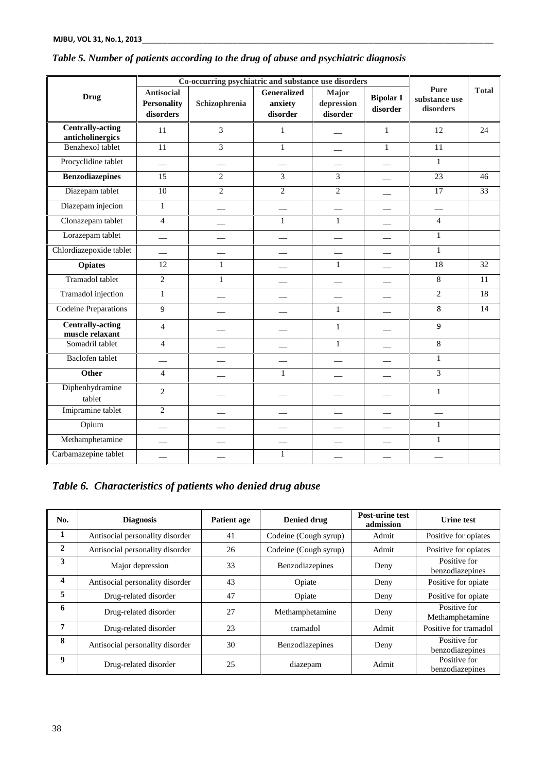|                                             | Co-occurring psychiatric and substance use disorders |                |                                           |                                 |                              |                                           |              |
|---------------------------------------------|------------------------------------------------------|----------------|-------------------------------------------|---------------------------------|------------------------------|-------------------------------------------|--------------|
| <b>Drug</b>                                 | <b>Antisocial</b><br><b>Personality</b><br>disorders | Schizophrenia  | <b>Generalized</b><br>anxiety<br>disorder | Major<br>depression<br>disorder | <b>Bipolar I</b><br>disorder | <b>Pure</b><br>substance use<br>disorders | <b>Total</b> |
| <b>Centrally-acting</b><br>anticholinergics | 11                                                   | 3              | $\mathbf{1}$                              |                                 | $\mathbf{1}$                 | 12                                        | 24           |
| Benzhexol tablet                            | 11                                                   | $\overline{3}$ | $\mathbf{1}$                              |                                 | $\mathbf{1}$                 | 11                                        |              |
| Procyclidine tablet                         |                                                      |                |                                           |                                 |                              | $\mathbf{1}$                              |              |
| <b>Benzodiazepines</b>                      | 15                                                   | 2              | 3                                         | 3                               |                              | 23                                        | 46           |
| Diazepam tablet                             | 10                                                   | $\overline{2}$ | $\overline{2}$                            | $\overline{c}$                  |                              | 17                                        | 33           |
| Diazepam injecion                           | $\mathbf{1}$                                         |                |                                           |                                 |                              |                                           |              |
| Clonazepam tablet                           | $\overline{4}$                                       |                | $\mathbf{1}$                              | $\mathbf{1}$                    |                              | $\overline{4}$                            |              |
| Lorazepam tablet                            |                                                      |                |                                           |                                 |                              | $\mathbf{1}$                              |              |
| Chlordiazepoxide tablet                     |                                                      |                |                                           |                                 |                              | $\mathbf{1}$                              |              |
| <b>Opiates</b>                              | 12                                                   | $\mathbf{1}$   |                                           | $\mathbf{1}$                    |                              | $\overline{18}$                           | 32           |
| Tramadol tablet                             | $\overline{c}$                                       | $\mathbf{1}$   |                                           |                                 |                              | $\,8\,$                                   | 11           |
| <b>Tramadol</b> injection                   | $\,1$                                                |                |                                           |                                 |                              | $\mathbf{2}$                              | 18           |
| <b>Codeine Preparations</b>                 | 9                                                    |                |                                           | $\mathbf{1}$                    |                              | 8                                         | 14           |
| <b>Centrally-acting</b><br>muscle relaxant  | $\overline{4}$                                       |                |                                           | $\mathbf{1}$                    |                              | 9                                         |              |
| Somadril tablet                             | $\overline{4}$                                       |                |                                           | $\mathbf{1}$                    |                              | $\overline{8}$                            |              |
| Baclofen tablet                             |                                                      |                |                                           |                                 |                              | $\mathbf{1}$                              |              |
| <b>Other</b>                                | $\overline{4}$                                       |                | $\mathbf{1}$                              |                                 |                              | 3                                         |              |
| Diphenhydramine<br>tablet                   | $\overline{c}$                                       |                |                                           |                                 |                              | $\mathbf{1}$                              |              |
| Imipramine tablet                           | $\overline{c}$                                       |                |                                           |                                 |                              |                                           |              |
| Opium                                       |                                                      |                |                                           |                                 |                              | $\mathbf{1}$                              |              |
| Methamphetamine                             |                                                      |                |                                           |                                 |                              | $\mathbf{1}$                              |              |
| Carbamazepine tablet                        |                                                      |                | $\mathbf{1}$                              |                                 |                              |                                           |              |

# *Table 5. Number of patients according to the drug of abuse and psychiatric diagnosis*

*Table 6. Characteristics of patients who denied drug abuse*

| No. | <b>Diagnosis</b>                | <b>Patient age</b> | Denied drug           | <b>Post-urine test</b><br>admission | <b>Urine test</b>               |
|-----|---------------------------------|--------------------|-----------------------|-------------------------------------|---------------------------------|
| 1   | Antisocial personality disorder | 41                 | Codeine (Cough syrup) | Admit                               | Positive for opiates            |
| 2   | Antisocial personality disorder | 26                 | Codeine (Cough syrup) | Admit                               | Positive for opiates            |
| 3   | Major depression                | 33                 | Benzodiazepines       | Deny                                | Positive for<br>benzodiazepines |
| 4   | Antisocial personality disorder | 43                 | Opiate                | Deny                                | Positive for opiate             |
| 5   | Drug-related disorder           | 47                 | Opiate                | Deny                                | Positive for opiate             |
| 6   | Drug-related disorder           | 27                 | Methamphetamine       | Deny                                | Positive for<br>Methamphetamine |
| 7   | Drug-related disorder           | 23                 | tramadol              | Admit                               | Positive for tramadol           |
| 8   | Antisocial personality disorder | 30                 | Benzodiazepines       | Deny                                | Positive for<br>benzodiazepines |
| 9   | Drug-related disorder           | 25                 | diazepam              | Admit                               | Positive for<br>benzodiazepines |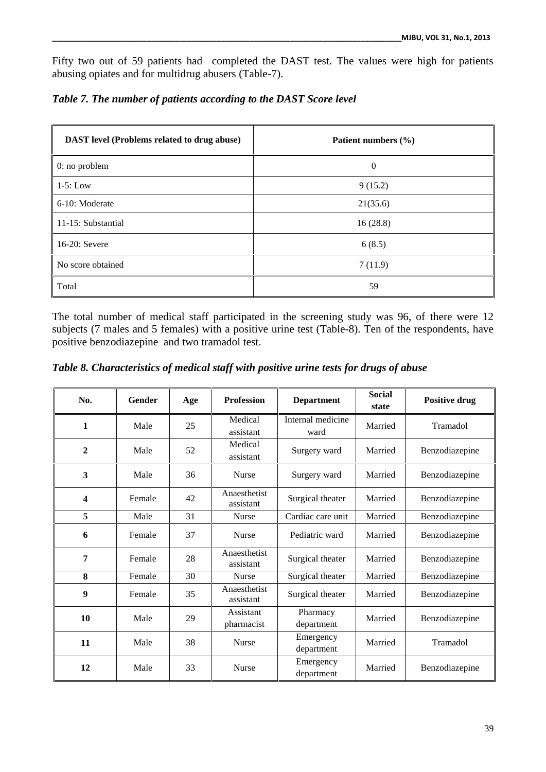Fifty two out of 59 patients had completed the DAST test. The values were high for patients abusing opiates and for multidrug abusers (Table-7).

| <b>DAST</b> level (Problems related to drug abuse) | Patient numbers (%) |
|----------------------------------------------------|---------------------|
| $0:$ no problem                                    | $\theta$            |
| $1-5$ : Low                                        | 9(15.2)             |
| 6-10: Moderate                                     | 21(35.6)            |
| 11-15: Substantial                                 | 16(28.8)            |
| 16-20: Severe                                      | 6(8.5)              |
| No score obtained                                  | 7(11.9)             |
| Total                                              | 59                  |

*Table 7. The number of patients according to the DAST Score level*

The total number of medical staff participated in the screening study was 96, of there were 12 subjects (7 males and 5 females) with a positive urine test (Table-8). Ten of the respondents, have positive benzodiazepine and two tramadol test.

*Table 8. Characteristics of medical staff with positive urine tests for drugs of abuse*

| No.                     | <b>Gender</b> | Age | <b>Profession</b>         | <b>Department</b>         | <b>Social</b><br>state | <b>Positive drug</b> |
|-------------------------|---------------|-----|---------------------------|---------------------------|------------------------|----------------------|
| $\mathbf{1}$            | Male          | 25  | Medical<br>assistant      | Internal medicine<br>ward | Married                | Tramadol             |
| $\boldsymbol{2}$        | Male          | 52  | Medical<br>assistant      | Surgery ward              | Married                | Benzodiazepine       |
| 3                       | Male          | 36  | <b>Nurse</b>              | Surgery ward              | Married                | Benzodiazepine       |
| $\overline{\mathbf{4}}$ | Female        | 42  | Anaesthetist<br>assistant | Surgical theater          | Married                | Benzodiazepine       |
| 5                       | Male          | 31  | Nurse                     | Cardiac care unit         | Married                | Benzodiazepine       |
| 6                       | Female        | 37  | Nurse                     | Pediatric ward            | Married                | Benzodiazepine       |
| 7                       | Female        | 28  | Anaesthetist<br>assistant | Surgical theater          | Married                | Benzodiazepine       |
| 8                       | Female        | 30  | <b>Nurse</b>              | Surgical theater          | Married                | Benzodiazepine       |
| 9                       | Female        | 35  | Anaesthetist<br>assistant | Surgical theater          | Married                | Benzodiazepine       |
| 10                      | Male          | 29  | Assistant<br>pharmacist   | Pharmacy<br>department    | Married                | Benzodiazepine       |
| 11                      | Male          | 38  | <b>Nurse</b>              | Emergency<br>department   | Married                | Tramadol             |
| 12                      | Male          | 33  | <b>Nurse</b>              | Emergency<br>department   | Married                | Benzodiazepine       |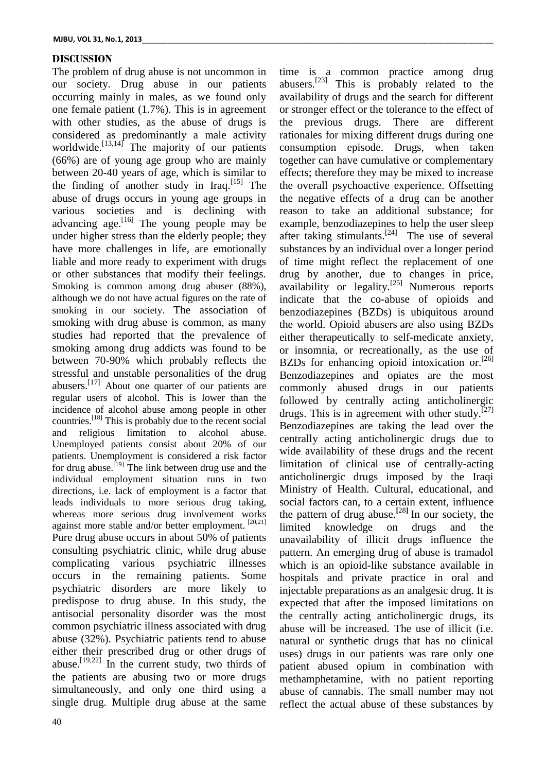### **DISCUSSION**

The problem of drug abuse is not uncommon in our society. Drug abuse in our patients occurring mainly in males, as we found only one female patient (1.7%). This is in agreement with other studies, as the abuse of drugs is considered as predominantly a male activity worldwide. $\left[13,14\right]$ <sup>r</sup> The majority of our patients (66%) are of young age group who are mainly between 20-40 years of age, which is similar to the finding of another study in Iraq.<sup>[15]</sup> The abuse of drugs occurs in young age groups in various societies and is declining with advancing age.  $[16]$  The young people may be under higher stress than the elderly people; they have more challenges in life, are emotionally liable and more ready to experiment with drugs or other substances that modify their feelings. Smoking is common among drug abuser (88%), although we do not have actual figures on the rate of smoking in our society. The association of smoking with drug abuse is common, as many studies had reported that the prevalence of smoking among drug addicts was found to be between 70-90% which probably reflects the stressful and unstable personalities of the drug abusers.<sup>[17]</sup> About one quarter of our patients are regular users of alcohol. This is lower than the incidence of alcohol abuse among people in other countries.[18] This is probably due to the recent social and religious limitation to alcohol abuse. Unemployed patients consist about 20% of our patients. Unemployment is considered a risk factor for drug abuse.<sup> $[19]$ </sup> The link between drug use and the individual employment situation runs in two directions, i.e. lack of employment is a factor that leads individuals to more serious drug taking, whereas more serious drug involvement works against more stable and/or better employment.  $[20,21]$  limited Pure drug abuse occurs in about 50% of patients consulting psychiatric clinic, while drug abuse complicating various psychiatric illnesses occurs in the remaining patients. Some psychiatric disorders are more likely to predispose to drug abuse. In this study, the antisocial personality disorder was the most common psychiatric illness associated with drug abuse (32%). Psychiatric patients tend to abuse either their prescribed drug or other drugs of abuse.<sup>[19,22]</sup> In the current study, two thirds of the patients are abusing two or more drugs simultaneously, and only one third using a single drug. Multiple drug abuse at the same

abusers.[23] This is probably related to the availability of drugs and the search for different or stronger effect or the tolerance to the effect of the previous drugs. There are different rationales for mixing different drugs during one consumption episode. Drugs, when taken together can have cumulative or complementary effects; therefore they may be mixed to increase the overall psychoactive experience. Offsetting the negative effects of a drug can be another reason to take an additional substance; for example, benzodiazepines to help the user sleep after taking stimulants.<sup>[24]</sup> The use of several substances by an individual over a longer period of time might reflect the replacement of one drug by another, due to changes in price, availability or legality.<sup>[25]</sup> Numerous reports indicate that the co-abuse of opioids and benzodiazepines (BZDs) is ubiquitous around the world. Opioid abusers are also using BZDs either therapeutically to self-medicate anxiety, or insomnia, or recreationally, as the use of BZDs for enhancing opioid intoxication or.<sup>[26]</sup> Benzodiazepines and opiates are the most commonly abused drugs in our patients followed by centrally acting anticholinergic drugs. This is in agreement with other study.<sup>[27]</sup> Benzodiazepines are taking the lead over the centrally acting anticholinergic drugs due to wide availability of these drugs and the recent limitation of clinical use of centrally-acting anticholinergic drugs imposed by the Iraqi Ministry of Health. Cultural, educational, and social factors can, to a certain extent, influence the pattern of drug abuse.<sup>[28]</sup> In our society, the limited knowledge on drugs and the on drugs and the unavailability of illicit drugs influence the pattern. An emerging drug of abuse is tramadol which is an opioid-like substance available in hospitals and private practice in oral and injectable preparations as an analgesic drug. It is expected that after the imposed limitations on the centrally acting anticholinergic drugs, its abuse will be increased. The use of illicit (i.e. natural or synthetic drugs that has no clinical uses) drugs in our patients was rare only one patient abused opium in combination with methamphetamine, with no patient reporting abuse of cannabis. The small number may not reflect the actual abuse of these substances by

time is a common practice among drug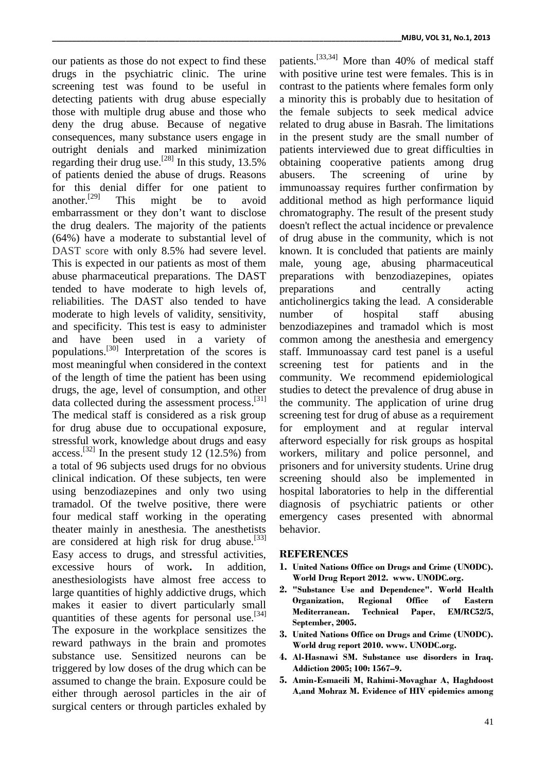our patients as those do not expect to find these drugs in the psychiatric clinic. The urine screening test was found to be useful in detecting patients with drug abuse especially those with multiple drug abuse and those who deny the drug abuse. Because of negative consequences, many substance users engage in outright denials and marked minimization regarding their drug use.<sup>[28]</sup> In this study,  $13.5\%$ of patients denied the abuse of drugs. Reasons for this denial differ for one patient to another.[29] This might be to avoid embarrassment or they don't want to disclose the drug dealers. The majority of the patients (64%) have a moderate to substantial level of DAST score with only 8.5% had severe level. This is expected in our patients as most of them abuse pharmaceutical preparations. The DAST tended to have moderate to high levels of, reliabilities. The DAST also tended to have moderate to high levels of validity, sensitivity, number and specificity. This test is easy to administer and have been used in a variety of populations.[30] Interpretation of the scores is most meaningful when considered in the context of the length of time the patient has been using drugs, the age, level of consumption, and other data collected during the assessment process.<sup>[31]</sup> tl The medical staff is considered as a risk group for drug abuse due to occupational exposure, stressful work, knowledge about drugs and easy access.<sup>[32]</sup> In the present study 12 (12.5%) from a total of 96 subjects used drugs for no obvious clinical indication. Of these subjects, ten were using benzodiazepines and only two using tramadol. Of the twelve positive, there were four medical staff working in the operating theater mainly in anesthesia. The anesthetists are considered at high risk for drug abuse.<sup>[33]</sup> Easy access to drugs, and stressful activities, excessive hours of work**.** In addition, anesthesiologists have almost free access to large quantities of highly addictive drugs, which makes it easier to divert particularly small quantities of these agents for personal use.<sup>[34]</sup> The exposure in the workplace sensitizes the reward pathways in the brain and promotes substance use. Sensitized neurons can be triggered by low doses of the drug which can be assumed to change the brain. Exposure could be either through aerosol particles in the air of surgical centers or through particles exhaled by

patients.[33,34] More than 40% of medical staff with positive urine test were females. This is in contrast to the patients where females form only a minority this is probably due to hesitation of the female subjects to seek medical advice related to drug abuse in Basrah. The limitations in the present study are the small number of patients interviewed due to great difficulties in obtaining cooperative patients among drug The screening of urine by immunoassay requires further confirmation by additional method as high performance liquid chromatography. The result of the present study doesn't reflect the actual incidence or prevalence of drug abuse in the community, which is not known. It is concluded that patients are mainly male, young age, abusing pharmaceutical preparations with benzodiazepines, opiates preparations and centrally acting anticholinergics taking the lead. A considerable of hospital staff abusing benzodiazepines and tramadol which is most common among the anesthesia and emergency staff. Immunoassay card test panel is a useful screening test for patients and in the community. We recommend epidemiological studies to detect the prevalence of drug abuse in the community. The application of urine drug screening test for drug of abuse as a requirement for employment and at regular interval afterword especially for risk groups as hospital workers, military and police personnel, and prisoners and for university students. Urine drug screening should also be implemented in hospital laboratories to help in the differential diagnosis of psychiatric patients or other emergency cases presented with abnormal behavior.

### **REFERENCES**

- **1. United Nations Office on Drugs and Crime (UNODC). World Drug Report 2012. www. UNODC.org.**
- **2. "Substance Use and Dependence". World Health Organization, Regional Office of Eastern Mediterranean. Technical Paper, EM/RC52/5, September, 2005.**
- **3. United Nations Office on Drugs and Crime (UNODC). World drug report 2010. www. UNODC.org.**
- **4. Al-Hasnawi SM. Substance use disorders in Iraq. Addiction 2005; 100: 1567–9.**
- **5. Amin-Esmaeili M, Rahimi-Movaghar A, Haghdoost A,and Mohraz M. Evidence of HIV epidemics among**